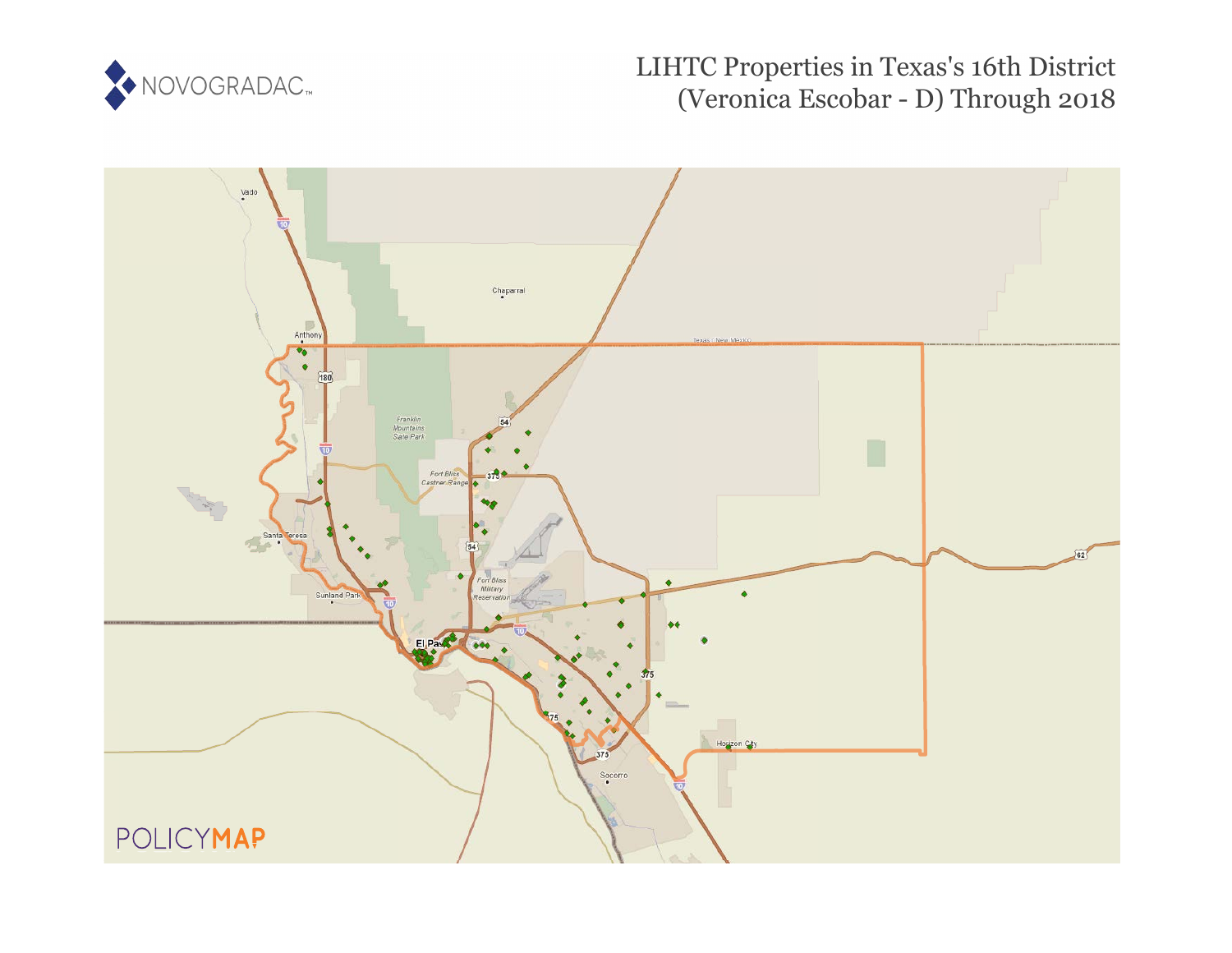

# LIHTC Properties in Texas's 16th District (Veronica Escobar - D) Through 2018

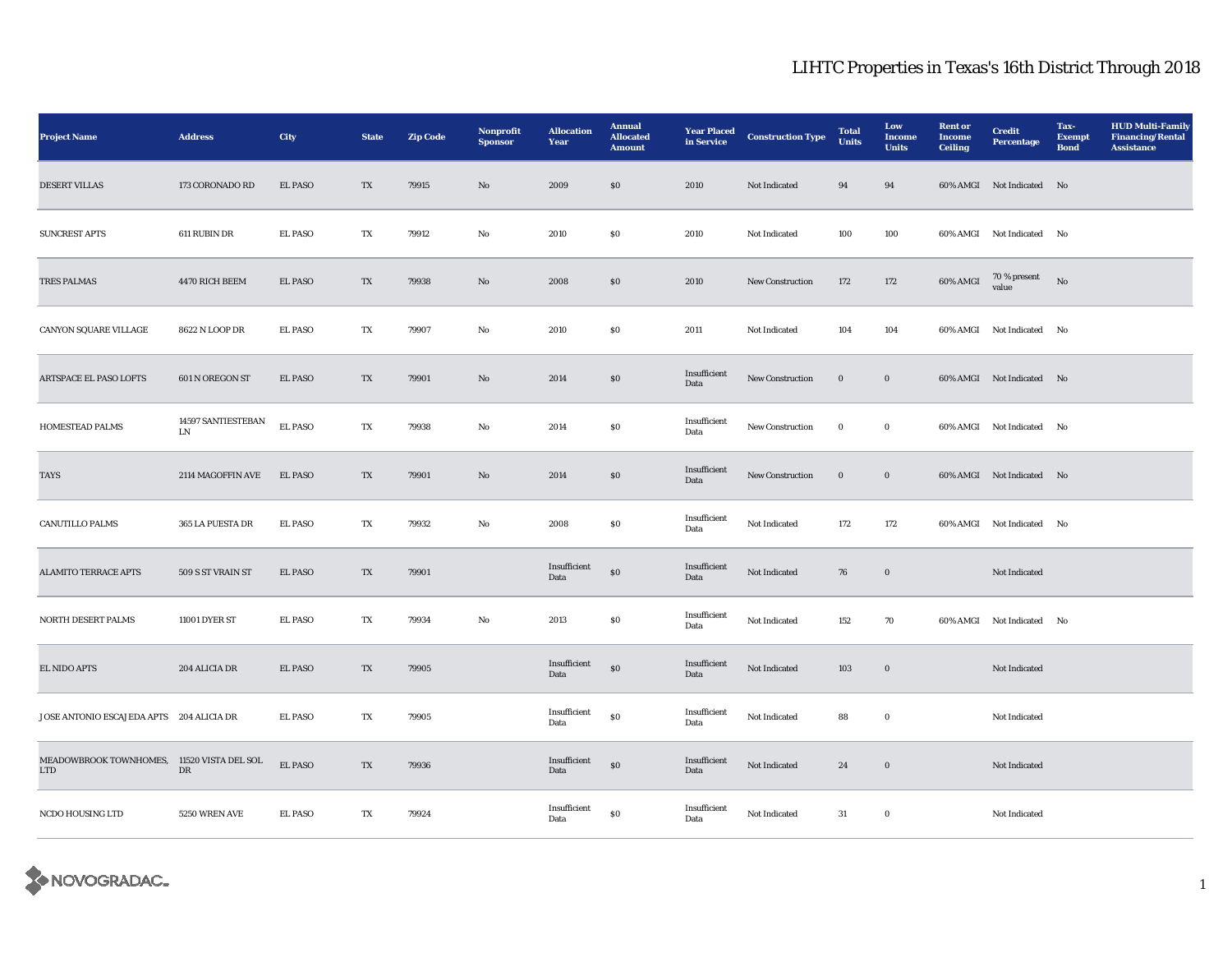| <b>Project Name</b>                               | <b>Address</b>           | <b>City</b>    | <b>State</b>             | <b>Zip Code</b> | Nonprofit<br><b>Sponsor</b> | <b>Allocation</b><br>Year | <b>Annual</b><br><b>Allocated</b><br><b>Amount</b> | <b>Year Placed</b><br>in Service | <b>Construction Type</b> | <b>Total</b><br><b>Units</b> | Low<br><b>Income</b><br><b>Units</b> | <b>Rent or</b><br><b>Income</b><br><b>Ceiling</b> | <b>Credit</b><br><b>Percentage</b> | Tax-<br><b>Exempt</b><br><b>Bond</b> | <b>HUD Multi-Family</b><br><b>Financing/Rental</b><br><b>Assistance</b> |
|---------------------------------------------------|--------------------------|----------------|--------------------------|-----------------|-----------------------------|---------------------------|----------------------------------------------------|----------------------------------|--------------------------|------------------------------|--------------------------------------|---------------------------------------------------|------------------------------------|--------------------------------------|-------------------------------------------------------------------------|
| <b>DESERT VILLAS</b>                              | 173 CORONADO RD          | <b>EL PASO</b> | $\mathcal{T}\mathcal{X}$ | 79915           | $\rm No$                    | 2009                      | $\$0$                                              | 2010                             | Not Indicated            | $\bf 94$                     | $\bf{94}$                            |                                                   | 60% AMGI Not Indicated No          |                                      |                                                                         |
| <b>SUNCREST APTS</b>                              | 611 RUBIN DR             | <b>EL PASO</b> | TX                       | 79912           | No                          | 2010                      | S <sub>0</sub>                                     | 2010                             | Not Indicated            | 100                          | 100                                  |                                                   | 60% AMGI Not Indicated             | No                                   |                                                                         |
| <b>TRES PALMAS</b>                                | 4470 RICH BEEM           | <b>EL PASO</b> | $\mathbf{T} \mathbf{X}$  | 79938           | $\rm No$                    | 2008                      | $\$0$                                              | 2010                             | New Construction         | 172                          | 172                                  | $60\%$ AMGI                                       | $70$ % present $\,$<br>value       | $_{\rm No}$                          |                                                                         |
| CANYON SQUARE VILLAGE                             | 8622 N LOOP DR           | <b>EL PASO</b> | TX                       | 79907           | $\mathbf {No}$              | 2010                      | $\boldsymbol{\mathsf{S}}\boldsymbol{\mathsf{0}}$   | 2011                             | Not Indicated            | 104                          | 104                                  |                                                   | 60% AMGI Not Indicated No          |                                      |                                                                         |
| ARTSPACE EL PASO LOFTS                            | 601 N OREGON ST          | <b>EL PASO</b> | TX                       | 79901           | No                          | 2014                      | S <sub>0</sub>                                     | Insufficient<br>Data             | New Construction         | $\mathbf 0$                  | $\bf{0}$                             |                                                   | 60% AMGI Not Indicated No          |                                      |                                                                         |
| HOMESTEAD PALMS                                   | 14597 SANTIESTEBAN<br>LN | <b>EL PASO</b> | TX                       | 79938           | No                          | 2014                      | $\boldsymbol{\mathsf{S}}\boldsymbol{\mathsf{0}}$   | Insufficient<br>Data             | New Construction         | $\bf{0}$                     | $\bf{0}$                             |                                                   | 60% AMGI Not Indicated             | No                                   |                                                                         |
| TAYS                                              | 2114 MAGOFFIN AVE        | <b>EL PASO</b> | TX                       | 79901           | No                          | 2014                      | $\boldsymbol{\mathsf{S}}\boldsymbol{\mathsf{0}}$   | Insufficient<br>Data             | <b>New Construction</b>  | $\bf{0}$                     | $\bf{0}$                             |                                                   | 60% AMGI Not Indicated No          |                                      |                                                                         |
| <b>CANUTILLO PALMS</b>                            | 365 LA PUESTA DR         | <b>EL PASO</b> | TX                       | 79932           | No                          | 2008                      | $\boldsymbol{\mathsf{S}}\boldsymbol{\mathsf{0}}$   | Insufficient<br>Data             | Not Indicated            | 172                          | 172                                  |                                                   | 60% AMGI Not Indicated             | No                                   |                                                                         |
| <b>ALAMITO TERRACE APTS</b>                       | 509 S ST VRAIN ST        | <b>EL PASO</b> | TX                       | 79901           |                             | Insufficient<br>Data      | $\$0$                                              | Insufficient<br>Data             | Not Indicated            | 76                           | $\mathbf 0$                          |                                                   | Not Indicated                      |                                      |                                                                         |
| NORTH DESERT PALMS                                | 11001 DYER ST            | <b>EL PASO</b> | TX                       | 79934           | No                          | 2013                      | $\boldsymbol{\mathsf{S}}\boldsymbol{\mathsf{0}}$   | Insufficient<br>Data             | Not Indicated            | 152                          | 70                                   |                                                   | 60% AMGI Not Indicated No          |                                      |                                                                         |
| <b>EL NIDO APTS</b>                               | 204 ALICIA DR            | EL PASO        | TX                       | 79905           |                             | Insufficient<br>Data      | $\$0$                                              | Insufficient<br>Data             | Not Indicated            | 103                          | $\mathbf 0$                          |                                                   | Not Indicated                      |                                      |                                                                         |
| JOSE ANTONIO ESCAJEDA APTS 204 ALICIA DR          |                          | <b>EL PASO</b> | TX                       | 79905           |                             | Insufficient<br>Data      | ${\bf S0}$                                         | Insufficient<br>Data             | Not Indicated            | 88                           | $\bf{0}$                             |                                                   | Not Indicated                      |                                      |                                                                         |
| MEADOWBROOK TOWNHOMES, 11520 VISTA DEL SOL<br>LTD | DR                       | <b>EL PASO</b> | TX                       | 79936           |                             | Insufficient<br>Data      | $\$0$                                              | Insufficient<br>Data             | Not Indicated            | 24                           | $\boldsymbol{0}$                     |                                                   | Not Indicated                      |                                      |                                                                         |
| NCDO HOUSING LTD                                  | 5250 WREN AVE            | <b>EL PASO</b> | TX                       | 79924           |                             | Insufficient<br>Data      | ${\bf S0}$                                         | Insufficient<br>Data             | Not Indicated            | $31\,$                       | $\mathbf 0$                          |                                                   | Not Indicated                      |                                      |                                                                         |

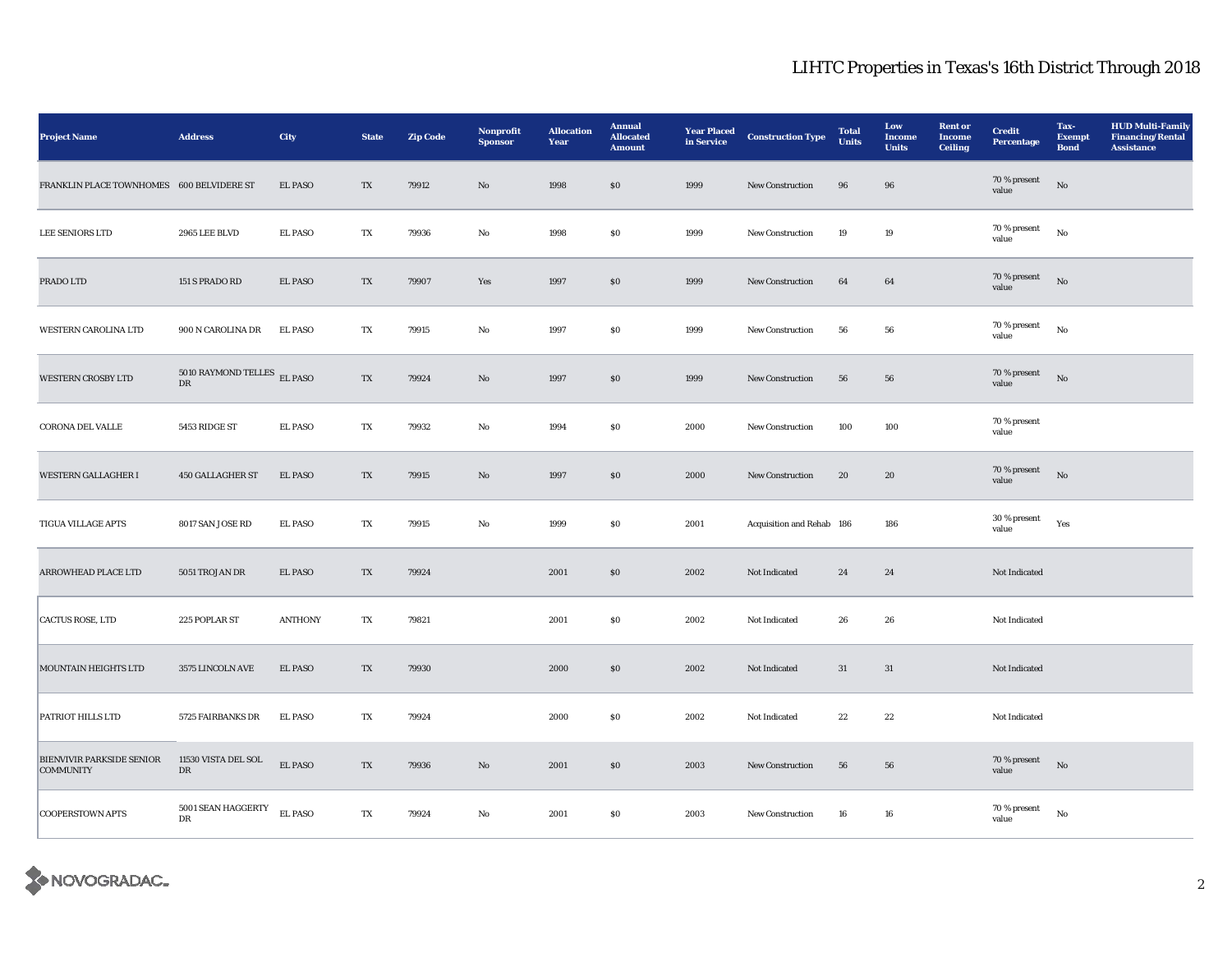| <b>Project Name</b>                           | <b>Address</b>                    | City           | <b>State</b>             | <b>Zip Code</b> | Nonprofit<br><b>Sponsor</b> | <b>Allocation</b><br>Year | <b>Annual</b><br><b>Allocated</b><br><b>Amount</b> | <b>Year Placed</b><br>in Service | <b>Construction Type</b>  | <b>Total</b><br><b>Units</b> | Low<br><b>Income</b><br><b>Units</b> | <b>Rent or</b><br><b>Income</b><br><b>Ceiling</b> | <b>Credit</b><br><b>Percentage</b> | Tax-<br><b>Exempt</b><br><b>Bond</b> | <b>HUD Multi-Family</b><br><b>Financing/Rental</b><br><b>Assistance</b> |
|-----------------------------------------------|-----------------------------------|----------------|--------------------------|-----------------|-----------------------------|---------------------------|----------------------------------------------------|----------------------------------|---------------------------|------------------------------|--------------------------------------|---------------------------------------------------|------------------------------------|--------------------------------------|-------------------------------------------------------------------------|
| FRANKLIN PLACE TOWNHOMES 600 BELVIDERE ST     |                                   | EL PASO        | $\mathcal{T}\mathcal{X}$ | 79912           | $\rm No$                    | 1998                      | $\bf{S0}$                                          | 1999                             | New Construction          | $\bf{96}$                    | $\bf{96}$                            |                                                   | 70 % present<br>value              | $_{\rm No}$                          |                                                                         |
| <b>LEE SENIORS LTD</b>                        | 2965 LEE BLVD                     | <b>EL PASO</b> | TX                       | 79936           | No                          | 1998                      | $\$0$                                              | 1999                             | New Construction          | 19                           | 19                                   |                                                   | 70 % present<br>value              | No                                   |                                                                         |
| PRADO LTD                                     | 151 S PRADO RD                    | EL PASO        | $\mathcal{T}\mathcal{X}$ | 79907           | Yes                         | 1997                      | $\bf{S0}$                                          | 1999                             | New Construction          | $\bf{64}$                    | $\bf{64}$                            |                                                   | 70 % present<br>value              | $_{\rm No}$                          |                                                                         |
| WESTERN CAROLINA LTD                          | 900 N CAROLINA DR                 | <b>EL PASO</b> | TX                       | 79915           | No                          | 1997                      | $\$0$                                              | 1999                             | New Construction          | 56                           | 56                                   |                                                   | 70 % present<br>value              | $_{\rm No}$                          |                                                                         |
| <b>WESTERN CROSBY LTD</b>                     | 5010 RAYMOND TELLES EL PASO<br>DR |                | TX                       | 79924           | $\mathbf{N}\mathbf{o}$      | 1997                      | $\$0$                                              | 1999                             | New Construction          | 56                           | 56                                   |                                                   | 70 % present<br>value              | $_{\rm No}$                          |                                                                         |
| <b>CORONA DEL VALLE</b>                       | 5453 RIDGE ST                     | <b>EL PASO</b> | TX                       | 79932           | No                          | 1994                      | $\$0$                                              | 2000                             | <b>New Construction</b>   | 100                          | 100                                  |                                                   | 70 % present<br>value              |                                      |                                                                         |
| <b>WESTERN GALLAGHER I</b>                    | <b>450 GALLAGHER ST</b>           | <b>EL PASO</b> | TX                       | 79915           | No                          | 1997                      | \$0                                                | 2000                             | New Construction          | 20                           | 20                                   |                                                   | 70 % present<br>value              | $_{\rm No}$                          |                                                                         |
| <b>TIGUA VILLAGE APTS</b>                     | 8017 SAN JOSE RD                  | <b>EL PASO</b> | TX                       | 79915           | No                          | 1999                      | $\$0$                                              | 2001                             | Acquisition and Rehab 186 |                              | 186                                  |                                                   | 30 % present<br>value              | Yes                                  |                                                                         |
| ARROWHEAD PLACE LTD                           | 5051 TROJAN DR                    | <b>EL PASO</b> | TX                       | 79924           |                             | 2001                      | \$0                                                | 2002                             | Not Indicated             | 24                           | 24                                   |                                                   | Not Indicated                      |                                      |                                                                         |
| CACTUS ROSE, LTD                              | 225 POPLAR ST                     | <b>ANTHONY</b> | TX                       | 79821           |                             | 2001                      | ${\bf S0}$                                         | 2002                             | Not Indicated             | 26                           | 26                                   |                                                   | Not Indicated                      |                                      |                                                                         |
| MOUNTAIN HEIGHTS LTD                          | 3575 LINCOLN AVE                  | <b>EL PASO</b> | TX                       | 79930           |                             | 2000                      | \$0                                                | 2002                             | Not Indicated             | 31                           | $31\,$                               |                                                   | Not Indicated                      |                                      |                                                                         |
| PATRIOT HILLS LTD                             | 5725 FAIRBANKS DR                 | <b>EL PASO</b> | TX                       | 79924           |                             | 2000                      | ${\bf S0}$                                         | 2002                             | Not Indicated             | 22                           | 22                                   |                                                   | Not Indicated                      |                                      |                                                                         |
| BIENVIVIR PARKSIDE SENIOR<br><b>COMMUNITY</b> | 11530 VISTA DEL SOL<br>DR         | <b>EL PASO</b> | TX                       | 79936           | No                          | 2001                      | \$0                                                | 2003                             | <b>New Construction</b>   | 56                           | 56                                   |                                                   | 70 % present<br>value              | $\rm No$                             |                                                                         |
| <b>COOPERSTOWN APTS</b>                       | 5001 SEAN HAGGERTY<br>$_{\rm DR}$ | <b>EL PASO</b> | TX                       | 79924           | No                          | 2001                      | $\$0$                                              | 2003                             | New Construction          | 16                           | 16                                   |                                                   | 70 % present<br>value              | $_{\rm No}$                          |                                                                         |

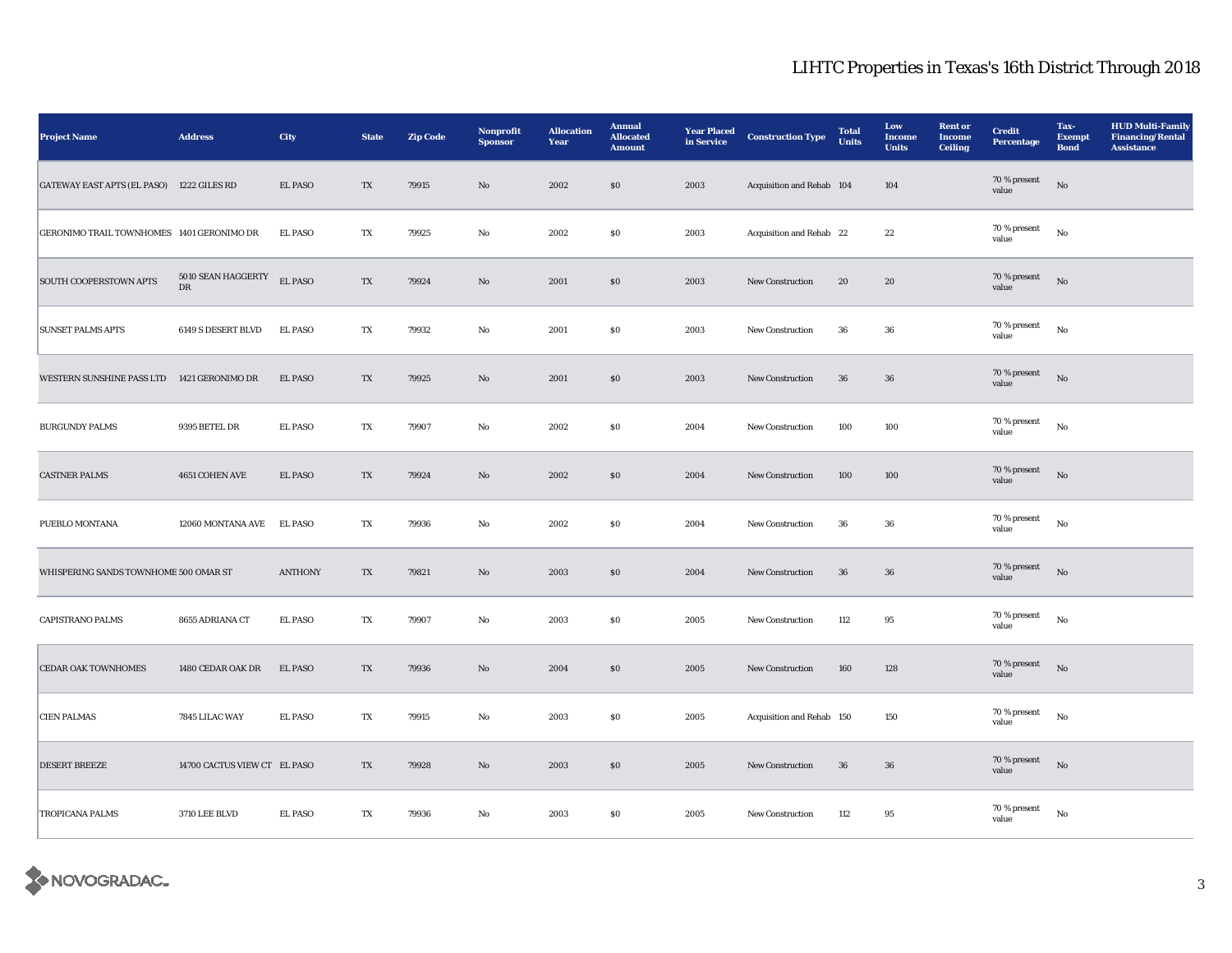| <b>Project Name</b>                        | <b>Address</b>                    | City           | <b>State</b>            | <b>Zip Code</b> | Nonprofit<br><b>Sponsor</b> | <b>Allocation</b><br>Year | <b>Annual</b><br><b>Allocated</b><br><b>Amount</b> | <b>Year Placed</b><br>in Service | <b>Construction Type</b>  | <b>Total</b><br>Units | Low<br><b>Income</b><br><b>Units</b> | <b>Rent or</b><br><b>Income</b><br><b>Ceiling</b> | <b>Credit</b><br><b>Percentage</b> | Tax-<br><b>Exempt</b><br><b>Bond</b> | <b>HUD Multi-Family</b><br><b>Financing/Rental</b><br><b>Assistance</b> |
|--------------------------------------------|-----------------------------------|----------------|-------------------------|-----------------|-----------------------------|---------------------------|----------------------------------------------------|----------------------------------|---------------------------|-----------------------|--------------------------------------|---------------------------------------------------|------------------------------------|--------------------------------------|-------------------------------------------------------------------------|
| GATEWAY EAST APTS (EL PASO) 1222 GILES RD  |                                   | <b>EL PASO</b> | $\mathbf{T}\mathbf{X}$  | 79915           | $\rm No$                    | 2002                      | $\boldsymbol{\mathsf{S}}\boldsymbol{\mathsf{O}}$   | 2003                             | Acquisition and Rehab 104 |                       | 104                                  |                                                   | 70 % present<br>value              | $_{\rm No}$                          |                                                                         |
| GERONIMO TRAIL TOWNHOMES 1401 GERONIMO DR  |                                   | <b>EL PASO</b> | TX                      | 79925           | No                          | 2002                      | $\$0$                                              | 2003                             | Acquisition and Rehab 22  |                       | $\bf{22}$                            |                                                   | 70 % present<br>value              | No                                   |                                                                         |
| SOUTH COOPERSTOWN APTS                     | 5010 SEAN HAGGERTY<br>$_{\rm DR}$ | EL PASO        | TX                      | 79924           | $\rm No$                    | 2001                      | $\$0$                                              | 2003                             | New Construction          | ${\bf 20}$            | 20                                   |                                                   | 70 % present<br>value              | $_{\rm No}$                          |                                                                         |
| <b>SUNSET PALMS APTS</b>                   | 6149 S DESERT BLVD                | <b>EL PASO</b> | TX                      | 79932           | $\rm\bf No$                 | 2001                      | ${\bf S0}$                                         | 2003                             | New Construction          | 36                    | ${\bf 36}$                           |                                                   | 70 % present<br>value              | $_{\rm No}$                          |                                                                         |
| WESTERN SUNSHINE PASS LTD 1421 GERONIMO DR |                                   | <b>EL PASO</b> | TX                      | 79925           | $\mathbf{N}\mathbf{o}$      | 2001                      | \$0\$                                              | 2003                             | <b>New Construction</b>   | 36                    | 36                                   |                                                   | 70 % present<br>value              | No                                   |                                                                         |
| <b>BURGUNDY PALMS</b>                      | 9395 BETEL DR                     | <b>EL PASO</b> | $\mathbf{T} \mathbf{X}$ | 79907           | $\rm\bf No$                 | 2002                      | ${\bf S0}$                                         | 2004                             | New Construction          | 100                   | 100                                  |                                                   | 70 % present<br>value              | $_{\rm No}$                          |                                                                         |
| <b>CASTNER PALMS</b>                       | 4651 COHEN AVE                    | <b>EL PASO</b> | TX                      | 79924           | $\mathbf{N}\mathbf{o}$      | 2002                      | \$0\$                                              | 2004                             | <b>New Construction</b>   | 100                   | 100                                  |                                                   | 70 % present<br>value              | No                                   |                                                                         |
| PUEBLO MONTANA                             | 12060 MONTANA AVE                 | <b>EL PASO</b> | TX                      | 79936           | No                          | 2002                      | $\boldsymbol{\mathsf{S}}\boldsymbol{\mathsf{O}}$   | 2004                             | <b>New Construction</b>   | 36                    | 36                                   |                                                   | 70 % present<br>value              | $_{\rm No}$                          |                                                                         |
| WHISPERING SANDS TOWNHOME 500 OMAR ST      |                                   | <b>ANTHONY</b> | TX                      | 79821           | $\mathbf{No}$               | 2003                      | $\$0$                                              | 2004                             | New Construction          | 36                    | ${\bf 36}$                           |                                                   | 70 % present<br>value              | $\rm No$                             |                                                                         |
| <b>CAPISTRANO PALMS</b>                    | 8655 ADRIANA CT                   | <b>EL PASO</b> | TX                      | 79907           | No                          | 2003                      | $\$0$                                              | 2005                             | New Construction          | 112                   | 95                                   |                                                   | 70 % present<br>value              | No                                   |                                                                         |
| <b>CEDAR OAK TOWNHOMES</b>                 | 1480 CEDAR OAK DR                 | <b>EL PASO</b> | TX                      | 79936           | No                          | 2004                      | $\bf{S0}$                                          | 2005                             | New Construction          | 160                   | 128                                  |                                                   | 70 % present<br>value              | No                                   |                                                                         |
| <b>CIEN PALMAS</b>                         | 7845 LILAC WAY                    | <b>EL PASO</b> | TX                      | 79915           | No                          | 2003                      | $\$0$                                              | 2005                             | Acquisition and Rehab 150 |                       | 150                                  |                                                   | 70 % present<br>value              | No                                   |                                                                         |
| <b>DESERT BREEZE</b>                       | 14700 CACTUS VIEW CT EL PASO      |                | TX                      | 79928           | $\mathbf{No}$               | 2003                      | $\$0$                                              | 2005                             | New Construction          | 36                    | ${\bf 36}$                           |                                                   | 70 % present<br>value              | No                                   |                                                                         |
| <b>TROPICANA PALMS</b>                     | <b>3710 LEE BLVD</b>              | <b>EL PASO</b> | TX                      | 79936           | No                          | 2003                      | ${\bf S0}$                                         | 2005                             | New Construction          | 112                   | 95                                   |                                                   | $70\,\%$ present<br>value          | $_{\rm No}$                          |                                                                         |

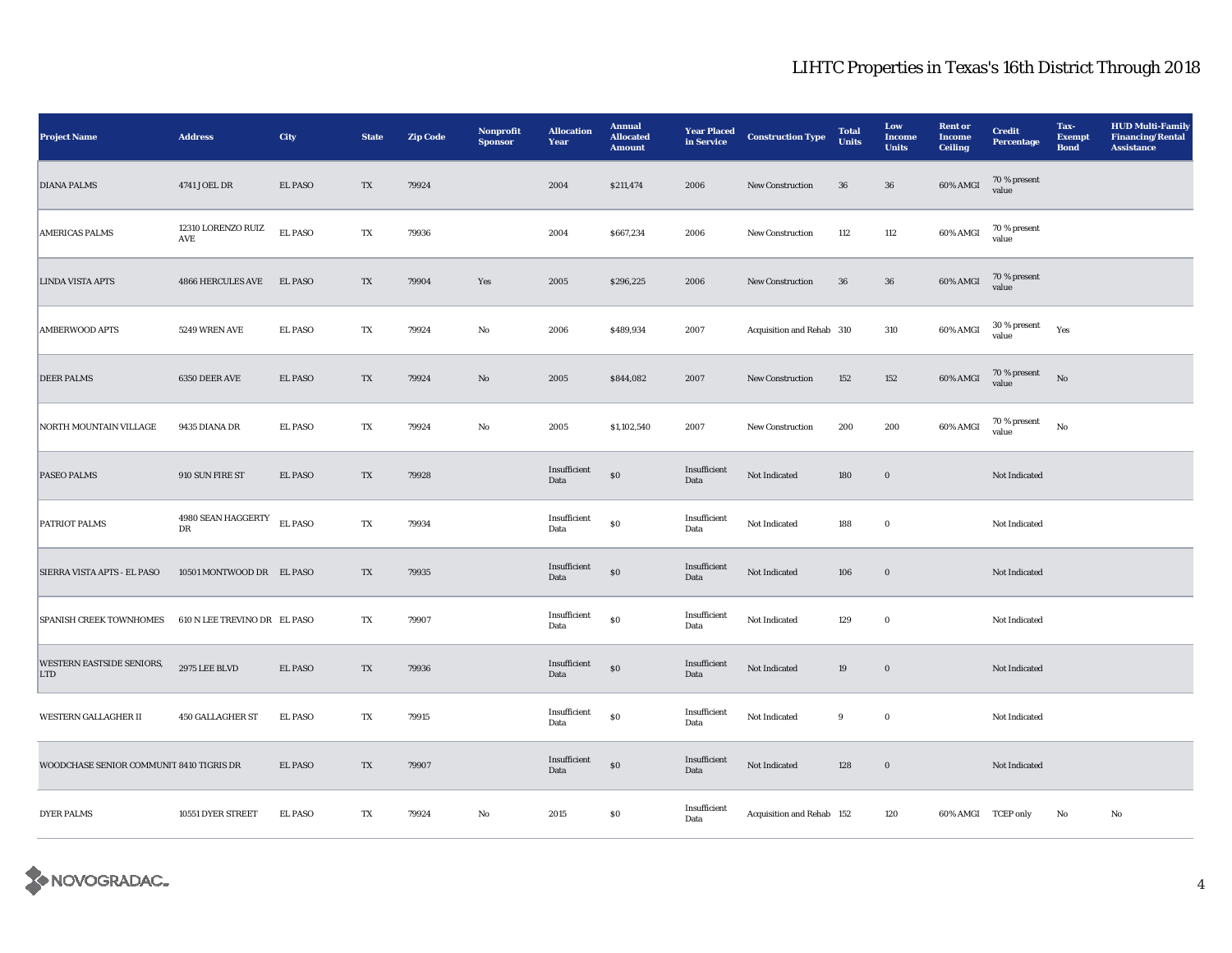| <b>Project Name</b>                      | <b>Address</b>                             | City           | <b>State</b>            | <b>Zip Code</b> | Nonprofit<br><b>Sponsor</b> | <b>Allocation</b><br>Year | <b>Annual</b><br><b>Allocated</b><br><b>Amount</b> | <b>Year Placed</b><br>in Service | <b>Construction Type</b>  | <b>Total</b><br><b>Units</b> | Low<br>Income<br><b>Units</b> | <b>Rent or</b><br><b>Income</b><br><b>Ceiling</b> | <b>Credit</b><br><b>Percentage</b> | Tax-<br><b>Exempt</b><br><b>Bond</b> | <b>HUD Multi-Family</b><br><b>Financing/Rental</b><br><b>Assistance</b> |
|------------------------------------------|--------------------------------------------|----------------|-------------------------|-----------------|-----------------------------|---------------------------|----------------------------------------------------|----------------------------------|---------------------------|------------------------------|-------------------------------|---------------------------------------------------|------------------------------------|--------------------------------------|-------------------------------------------------------------------------|
| <b>DIANA PALMS</b>                       | 4741 JOEL DR                               | EL PASO        | TX                      | 79924           |                             | 2004                      | \$211,474                                          | 2006                             | New Construction          | $36\,$                       | ${\bf 36}$                    | 60% AMGI                                          | 70 % present<br>value              |                                      |                                                                         |
| <b>AMERICAS PALMS</b>                    | 12310 LORENZO RUIZ<br>$\operatorname{AVE}$ | <b>EL PASO</b> | TX                      | 79936           |                             | 2004                      | \$667,234                                          | 2006                             | <b>New Construction</b>   | 112                          | 112                           | 60% AMGI                                          | 70 % present<br>value              |                                      |                                                                         |
| LINDA VISTA APTS                         | <b>4866 HERCULES AVE</b>                   | <b>EL PASO</b> | $\mathbf{T} \mathbf{X}$ | 79904           | Yes                         | 2005                      | \$296,225                                          | 2006                             | New Construction          | $36\,$                       | ${\bf 36}$                    | $60\%$ AMGI                                       | 70 % present<br>value              |                                      |                                                                         |
| <b>AMBERWOOD APTS</b>                    | 5249 WREN AVE                              | <b>EL PASO</b> | TX                      | 79924           | No                          | 2006                      | \$489,934                                          | 2007                             | Acquisition and Rehab 310 |                              | 310                           | 60% AMGI                                          | $30$ % present<br>value            | Yes                                  |                                                                         |
| <b>DEER PALMS</b>                        | 6350 DEER AVE                              | <b>EL PASO</b> | TX                      | 79924           | $\rm No$                    | 2005                      | \$844,082                                          | 2007                             | New Construction          | 152                          | 152                           | $60\%$ AMGI                                       | $70\,\%$ present<br>value          | $_{\rm No}$                          |                                                                         |
| NORTH MOUNTAIN VILLAGE                   | 9435 DIANA DR                              | <b>EL PASO</b> | TX                      | 79924           | No                          | 2005                      | \$1,102,540                                        | 2007                             | New Construction          | 200                          | 200                           | 60% AMGI                                          | $70\,\%$ present<br>value          | $_{\rm No}$                          |                                                                         |
| <b>PASEO PALMS</b>                       | 910 SUN FIRE ST                            | <b>EL PASO</b> | TX                      | 79928           |                             | Insufficient<br>Data      | ${\bf S0}$                                         | Insufficient<br>Data             | Not Indicated             | 180                          | $\boldsymbol{0}$              |                                                   | Not Indicated                      |                                      |                                                                         |
| <b>PATRIOT PALMS</b>                     | 4980 SEAN HAGGERTY<br>DR                   | <b>EL PASO</b> | TX                      | 79934           |                             | Insufficient<br>Data      | $\$0$                                              | Insufficient<br>Data             | Not Indicated             | 188                          | $\bf{0}$                      |                                                   | Not Indicated                      |                                      |                                                                         |
| SIERRA VISTA APTS - EL PASO              | 10501 MONTWOOD DR EL PASO                  |                | TX                      | 79935           |                             | Insufficient<br>Data      | $\$0$                                              | Insufficient<br>Data             | Not Indicated             | 106                          | $\bf{0}$                      |                                                   | Not Indicated                      |                                      |                                                                         |
| <b>SPANISH CREEK TOWNHOMES</b>           | 610 N LEE TREVINO DR EL PASO               |                | TX                      | 79907           |                             | Insufficient<br>Data      | $\$0$                                              | Insufficient<br>Data             | Not Indicated             | 129                          | $\bf{0}$                      |                                                   | Not Indicated                      |                                      |                                                                         |
| WESTERN EASTSIDE SENIORS,<br><b>LTD</b>  | <b>2975 LEE BLVD</b>                       | <b>EL PASO</b> | TX                      | 79936           |                             | Insufficient<br>Data      | $\$0$                                              | Insufficient<br>Data             | Not Indicated             | 19                           | $\boldsymbol{0}$              |                                                   | Not Indicated                      |                                      |                                                                         |
| WESTERN GALLAGHER II                     | <b>450 GALLAGHER ST</b>                    | <b>EL PASO</b> | TX                      | 79915           |                             | Insufficient<br>Data      | $\bf{S0}$                                          | Insufficient<br>Data             | Not Indicated             | 9                            | $\mathbf 0$                   |                                                   | Not Indicated                      |                                      |                                                                         |
| WOODCHASE SENIOR COMMUNIT 8410 TIGRIS DR |                                            | <b>EL PASO</b> | TX                      | 79907           |                             | Insufficient<br>Data      | $\$0$                                              | Insufficient<br>Data             | Not Indicated             | 128                          | $\mathbf 0$                   |                                                   | Not Indicated                      |                                      |                                                                         |
| <b>DYER PALMS</b>                        | 10551 DYER STREET                          | <b>EL PASO</b> | TX                      | 79924           | No                          | 2015                      | $\$0$                                              | Insufficient<br>Data             | Acquisition and Rehab 152 |                              | 120                           | 60% AMGI TCEP only                                |                                    | No                                   | No                                                                      |

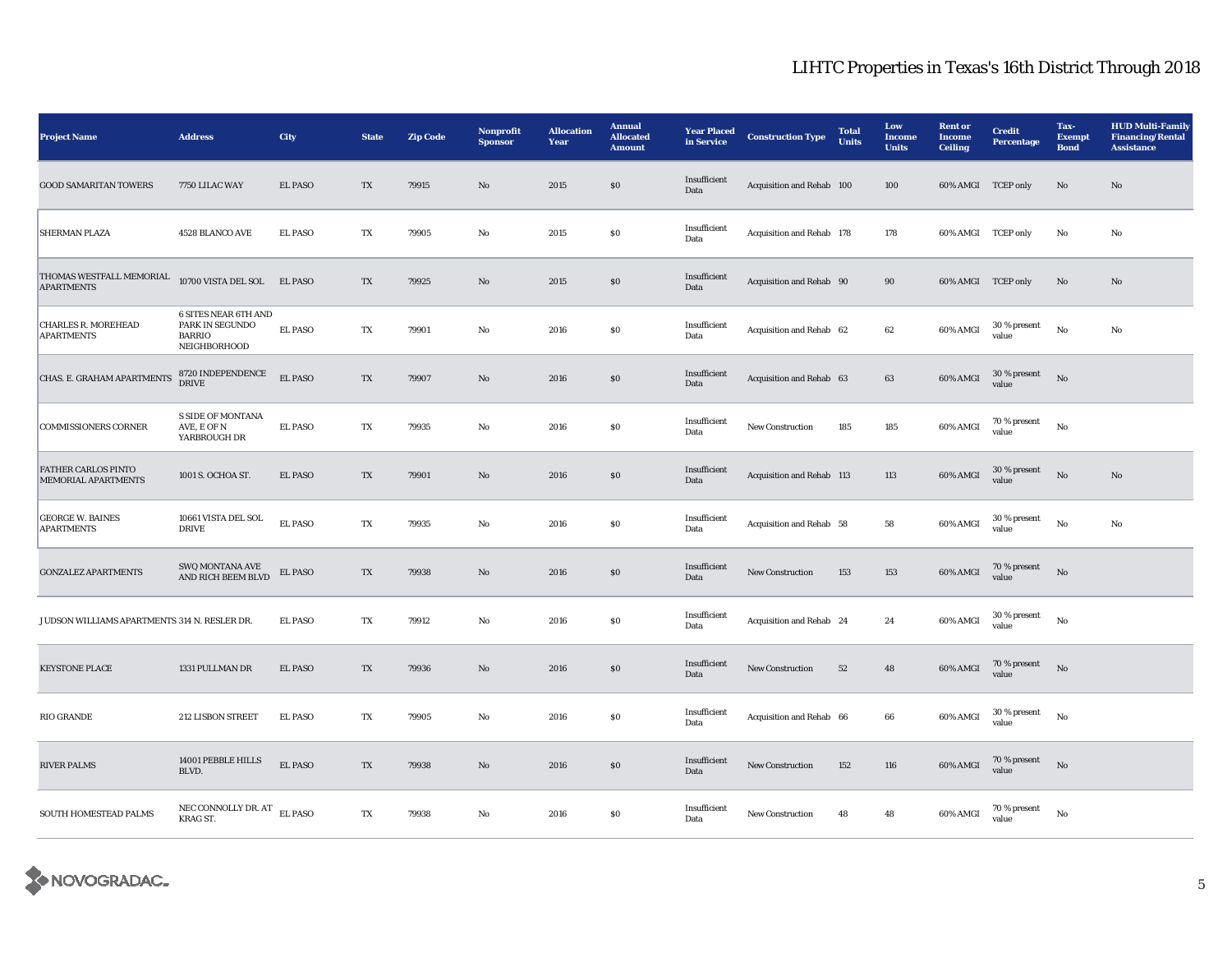| <b>Project Name</b>                               | <b>Address</b>                                                                  | <b>City</b>    | <b>State</b> | <b>Zip Code</b> | Nonprofit<br><b>Sponsor</b> | <b>Allocation</b><br>Year | <b>Annual</b><br><b>Allocated</b><br><b>Amount</b> | <b>Year Placed</b><br>in Service | <b>Construction Type</b>  | <b>Total</b><br><b>Units</b> | Low<br><b>Income</b><br><b>Units</b> | <b>Rent or</b><br><b>Income</b><br><b>Ceiling</b> | <b>Credit</b><br><b>Percentage</b> | Tax-<br><b>Exempt</b><br><b>Bond</b> | <b>HUD Multi-Family</b><br><b>Financing/Rental</b><br><b>Assistance</b> |
|---------------------------------------------------|---------------------------------------------------------------------------------|----------------|--------------|-----------------|-----------------------------|---------------------------|----------------------------------------------------|----------------------------------|---------------------------|------------------------------|--------------------------------------|---------------------------------------------------|------------------------------------|--------------------------------------|-------------------------------------------------------------------------|
| <b>GOOD SAMARITAN TOWERS</b>                      | 7750 LILAC WAY                                                                  | <b>EL PASO</b> | TX           | 79915           | No                          | 2015                      | \$0\$                                              | Insufficient<br>Data             | Acquisition and Rehab 100 |                              | 100                                  | 60% AMGI TCEP only                                |                                    | $\mathbf{N}\mathbf{o}$               | No                                                                      |
| <b>SHERMAN PLAZA</b>                              | 4528 BLANCO AVE                                                                 | <b>EL PASO</b> | TX           | 79905           | $\rm No$                    | 2015                      | \$0\$                                              | Insufficient<br>Data             | Acquisition and Rehab 178 |                              | 178                                  | 60% AMGI TCEP only                                |                                    | $\rm No$                             | No                                                                      |
| THOMAS WESTFALL MEMORIAL<br><b>APARTMENTS</b>     | 10700 VISTA DEL SOL EL PASO                                                     |                | TX           | 79925           | No                          | 2015                      | \$0\$                                              | Insufficient<br>Data             | Acquisition and Rehab 90  |                              | 90                                   | 60% AMGI TCEP only                                |                                    | No                                   | No                                                                      |
| <b>CHARLES R. MOREHEAD</b><br><b>APARTMENTS</b>   | 6 SITES NEAR 6TH AND<br>PARK IN SEGUNDO<br><b>BARRIO</b><br><b>NEIGHBORHOOD</b> | <b>EL PASO</b> | TX           | 79901           | No                          | 2016                      | \$0\$                                              | Insufficient<br>Data             | Acquisition and Rehab 62  |                              | 62                                   | 60% AMGI                                          | $30\,\%$ present<br>value          | No                                   | No                                                                      |
| CHAS. E. GRAHAM APARTMENTS                        | 8720 INDEPENDENCE<br><b>DRIVE</b>                                               | <b>EL PASO</b> | TX           | 79907           | No                          | 2016                      | \$0\$                                              | Insufficient<br>Data             | Acquisition and Rehab 63  |                              | 63                                   | 60% AMGI                                          | 30 % present<br>value              | $\mathbf{N}\mathbf{o}$               |                                                                         |
| <b>COMMISSIONERS CORNER</b>                       | <b>S SIDE OF MONTANA</b><br>AVE, E OF N<br>YARBROUGH DR                         | <b>EL PASO</b> | TX           | 79935           | No                          | 2016                      | \$0\$                                              | Insufficient<br>Data             | New Construction          | 185                          | 185                                  | 60% AMGI                                          | 70 % present<br>value              | No                                   |                                                                         |
| <b>FATHER CARLOS PINTO</b><br>MEMORIAL APARTMENTS | 1001 S. OCHOA ST.                                                               | <b>EL PASO</b> | TX           | 79901           | $\mathbf{N}\mathbf{o}$      | 2016                      | $\$0$                                              | Insufficient<br>Data             | Acquisition and Rehab 113 |                              | 113                                  | 60% AMGI                                          | 30 % present<br>value              | $\rm No$                             | $\mathbf{N}\mathbf{o}$                                                  |
| <b>GEORGE W. BAINES</b><br><b>APARTMENTS</b>      | 10661 VISTA DEL SOL<br><b>DRIVE</b>                                             | <b>EL PASO</b> | TX           | 79935           | No                          | 2016                      | \$0\$                                              | Insufficient<br>Data             | Acquisition and Rehab 58  |                              | 58                                   | 60% AMGI                                          | 30 % present<br>value              | No                                   | No                                                                      |
| <b>GONZALEZ APARTMENTS</b>                        | SWQ MONTANA AVE<br>AND RICH BEEM BLVD                                           | EL PASO        | TX           | 79938           | $\mathbf{N}\mathbf{o}$      | 2016                      | $\$0$                                              | Insufficient<br>Data             | New Construction          | 153                          | 153                                  | 60% AMGI                                          | 70 % present<br>value              | $\rm No$                             |                                                                         |
| JUDSON WILLIAMS APARTMENTS 314 N. RESLER DR.      |                                                                                 | <b>EL PASO</b> | TX           | 79912           | No                          | 2016                      | \$0\$                                              | Insufficient<br>Data             | Acquisition and Rehab 24  |                              | 24                                   | 60% AMGI                                          | $30~\%$ present<br>value           | No                                   |                                                                         |
| <b>KEYSTONE PLACE</b>                             | 1331 PULLMAN DR                                                                 | <b>EL PASO</b> | TX           | 79936           | $\mathbf{N}\mathbf{o}$      | 2016                      | \$0\$                                              | Insufficient<br>Data             | New Construction          | 52                           | 48                                   | 60% AMGI                                          | 70 % present<br>value              | $\mathbf{No}$                        |                                                                         |
| <b>RIO GRANDE</b>                                 | 212 LISBON STREET                                                               | <b>EL PASO</b> | TX           | 79905           | No                          | 2016                      | \$0\$                                              | Insufficient<br>Data             | Acquisition and Rehab 66  |                              | 66                                   | 60% AMGI                                          | 30 % present<br>value              | No                                   |                                                                         |
| <b>RIVER PALMS</b>                                | 14001 PEBBLE HILLS<br>BLVD.                                                     | <b>EL PASO</b> | TX           | 79938           | No                          | 2016                      | \$0\$                                              | Insufficient<br>Data             | <b>New Construction</b>   | 152                          | 116                                  | 60% AMGI                                          | 70 % present<br>value              | $\mathbf{N}\mathbf{o}$               |                                                                         |
| SOUTH HOMESTEAD PALMS                             | NEC CONNOLLY DR. AT EL PASO<br>KRAG ST.                                         |                | TX           | 79938           | No                          | 2016                      | $\$0$                                              | Insufficient<br>Data             | <b>New Construction</b>   | 48                           | 48                                   | 60% AMGI                                          | 70 % present<br>value              | No                                   |                                                                         |

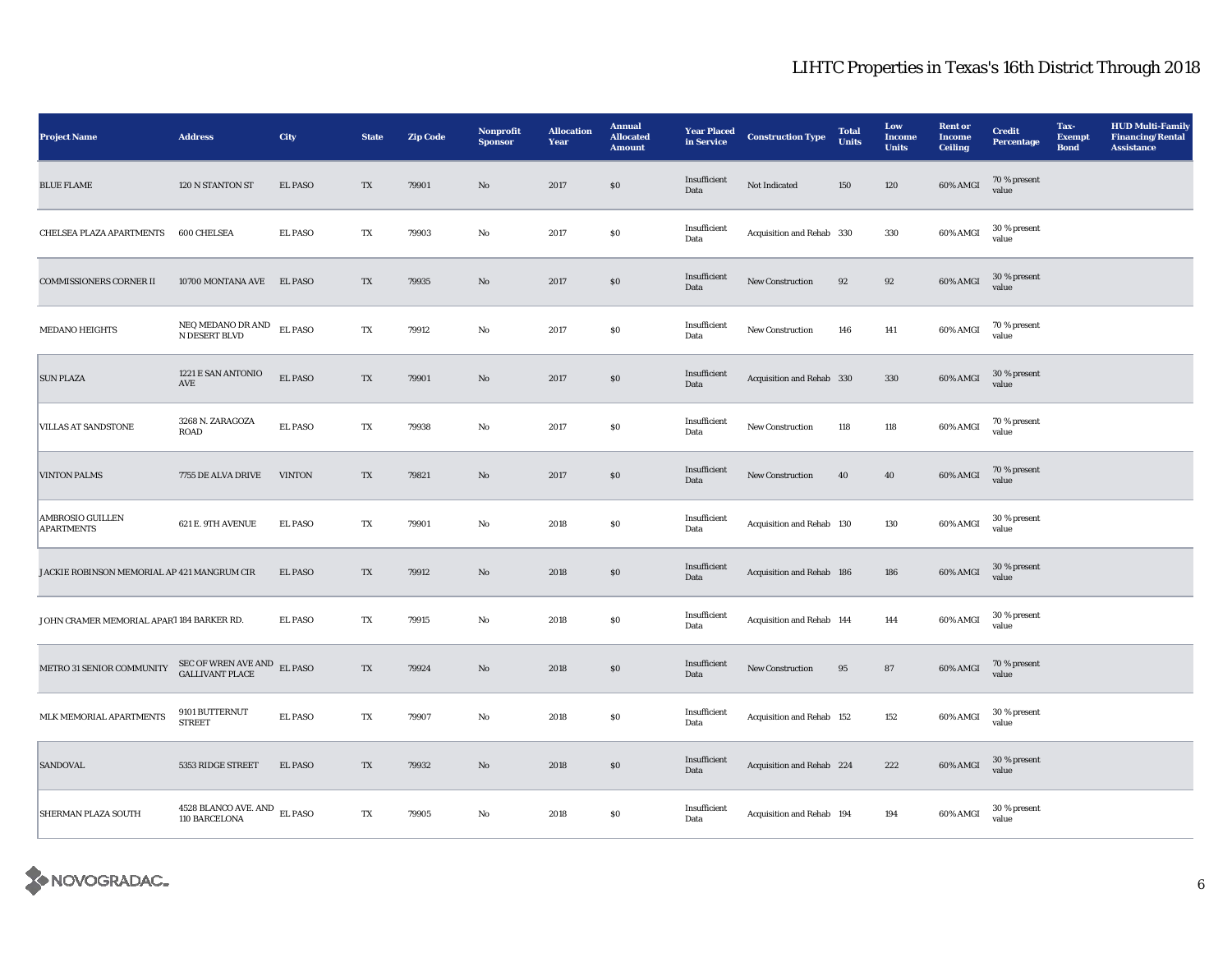| <b>Project Name</b>                         | <b>Address</b>                                        | City           | <b>State</b> | <b>Zip Code</b> | Nonprofit<br><b>Sponsor</b> | <b>Allocation</b><br>Year | <b>Annual</b><br><b>Allocated</b><br><b>Amount</b> | <b>Year Placed</b><br>in Service | <b>Construction Type</b>  | <b>Total</b><br>Units | Low<br>Income<br><b>Units</b> | <b>Rent or</b><br><b>Income</b><br><b>Ceiling</b> | <b>Credit</b><br><b>Percentage</b> | Tax-<br><b>Exempt</b><br><b>Bond</b> | <b>HUD Multi-Family</b><br><b>Financing/Rental</b><br><b>Assistance</b> |
|---------------------------------------------|-------------------------------------------------------|----------------|--------------|-----------------|-----------------------------|---------------------------|----------------------------------------------------|----------------------------------|---------------------------|-----------------------|-------------------------------|---------------------------------------------------|------------------------------------|--------------------------------------|-------------------------------------------------------------------------|
| <b>BLUE FLAME</b>                           | 120 N STANTON ST                                      | <b>EL PASO</b> | TX           | 79901           | $\mathbf{No}$               | 2017                      | $\$0$                                              | Insufficient<br>Data             | Not Indicated             | 150                   | 120                           | 60% AMGI                                          | 70 % present<br>value              |                                      |                                                                         |
| CHELSEA PLAZA APARTMENTS                    | 600 CHELSEA                                           | <b>EL PASO</b> | TX           | 79903           | No                          | 2017                      | $\$0$                                              | Insufficient<br>Data             | Acquisition and Rehab 330 |                       | 330                           | 60% AMGI                                          | 30 % present<br>value              |                                      |                                                                         |
| <b>COMMISSIONERS CORNER II</b>              | 10700 MONTANA AVE EL PASO                             |                | TX           | 79935           | No                          | 2017                      | $\$0$                                              | Insufficient<br>Data             | New Construction          | 92                    | $\bf{92}$                     | 60% AMGI                                          | 30 % present<br>value              |                                      |                                                                         |
| <b>MEDANO HEIGHTS</b>                       | NEQ MEDANO DR AND<br>N DESERT BLVD                    | <b>EL PASO</b> | TX           | 79912           | No                          | 2017                      | $\$0$                                              | Insufficient<br>Data             | New Construction          | 146                   | 141                           | 60% AMGI                                          | 70 % present<br>value              |                                      |                                                                         |
| <b>SUN PLAZA</b>                            | 1221 E SAN ANTONIO<br>AVE                             | <b>EL PASO</b> | TX           | 79901           | No                          | 2017                      | \$0                                                | Insufficient<br>Data             | Acquisition and Rehab 330 |                       | 330                           | 60% AMGI                                          | 30 % present<br>value              |                                      |                                                                         |
| <b>VILLAS AT SANDSTONE</b>                  | 3268 N. ZARAGOZA<br>ROAD                              | <b>EL PASO</b> | TX           | 79938           | No                          | 2017                      | $\$0$                                              | Insufficient<br>Data             | New Construction          | 118                   | 118                           | 60% AMGI                                          | 70 % present<br>value              |                                      |                                                                         |
| <b>VINTON PALMS</b>                         | 7755 DE ALVA DRIVE                                    | <b>VINTON</b>  | TX           | 79821           | $\mathbf{N}\mathbf{o}$      | 2017                      | \$0                                                | Insufficient<br>Data             | <b>New Construction</b>   | 40                    | 40                            | 60% AMGI                                          | 70 % present<br>value              |                                      |                                                                         |
| AMBROSIO GUILLEN<br><b>APARTMENTS</b>       | 621 E. 9TH AVENUE                                     | <b>EL PASO</b> | TX           | 79901           | No                          | 2018                      | SO.                                                | Insufficient<br>Data             | Acquisition and Rehab 130 |                       | 130                           | 60% AMGI                                          | 30 % present<br>value              |                                      |                                                                         |
| JACKIE ROBINSON MEMORIAL AP 421 MANGRUM CIR |                                                       | <b>EL PASO</b> | TX           | 79912           | $\mathbf{N}\mathbf{o}$      | 2018                      | $\$0$                                              | Insufficient<br>Data             | Acquisition and Rehab 186 |                       | 186                           | $60\%$ AMGI                                       | 30 % present<br>value              |                                      |                                                                         |
| JOHN CRAMER MEMORIAL APART 184 BARKER RD.   |                                                       | <b>EL PASO</b> | TX           | 79915           | No                          | 2018                      | SO.                                                | Insufficient<br>Data             | Acquisition and Rehab 144 |                       | 144                           | 60% AMGI                                          | 30 % present<br>value              |                                      |                                                                         |
| METRO 31 SENIOR COMMUNITY                   | SEC OF WREN AVE AND $$\rm \,EL~PASO$$ GALLIVANT PLACE |                | TX           | 79924           | $\mathbf{N}\mathbf{o}$      | 2018                      | $\$0$                                              | Insufficient<br>Data             | New Construction          | 95                    | 87                            | 60% AMGI                                          | 70 % present<br>value              |                                      |                                                                         |
| MLK MEMORIAL APARTMENTS                     | 9101 BUTTERNUT<br><b>STREET</b>                       | <b>EL PASO</b> | TX           | 79907           | No                          | 2018                      | $\$0$                                              | Insufficient<br>Data             | Acquisition and Rehab 152 |                       | 152                           | 60% AMGI                                          | 30 % present<br>value              |                                      |                                                                         |
| <b>SANDOVAL</b>                             | 5353 RIDGE STREET                                     | <b>EL PASO</b> | TX           | 79932           | No                          | 2018                      | \$0                                                | Insufficient<br>Data             | Acquisition and Rehab 224 |                       | 222                           | 60% AMGI                                          | 30 % present<br>value              |                                      |                                                                         |
| <b>SHERMAN PLAZA SOUTH</b>                  | 4528 BLANCO AVE. AND EL PASO<br>110 BARCELONA         |                | TX           | 79905           | $_{\rm No}$                 | 2018                      | $\$0$                                              | Insufficient<br>Data             | Acquisition and Rehab 194 |                       | 194                           | 60% AMGI                                          | 30 % present<br>value              |                                      |                                                                         |

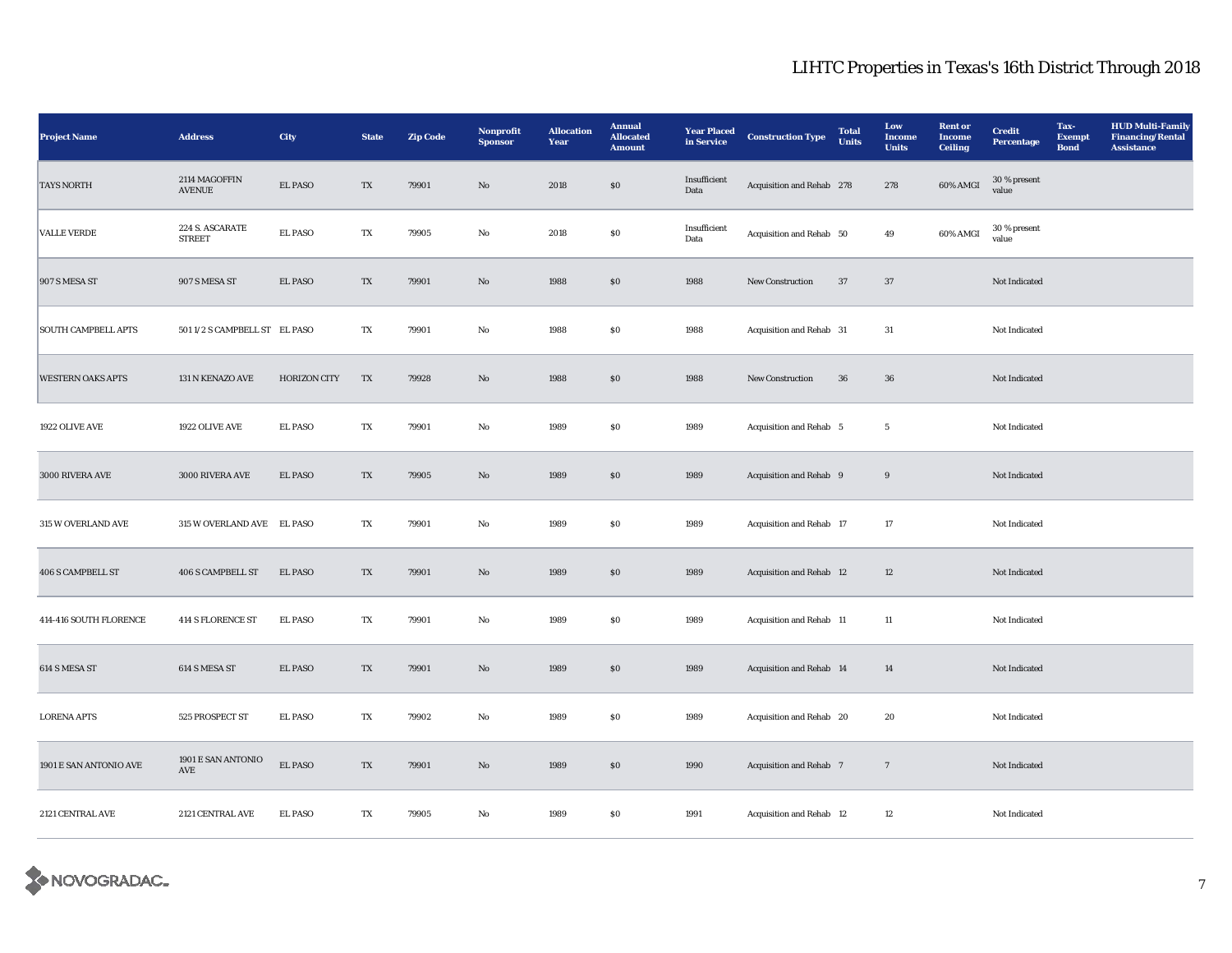| <b>Project Name</b>        | <b>Address</b>                             | City                | <b>State</b> | <b>Zip Code</b> | Nonprofit<br><b>Sponsor</b> | <b>Allocation</b><br>Year | <b>Annual</b><br><b>Allocated</b><br><b>Amount</b> | <b>Year Placed</b><br>in Service | <b>Construction Type</b>  | <b>Total</b><br><b>Units</b> | Low<br><b>Income</b><br><b>Units</b> | <b>Rent or</b><br><b>Income</b><br><b>Ceiling</b> | <b>Credit</b><br><b>Percentage</b> | Tax-<br><b>Exempt</b><br><b>Bond</b> | <b>HUD Multi-Family</b><br><b>Financing/Rental</b><br><b>Assistance</b> |
|----------------------------|--------------------------------------------|---------------------|--------------|-----------------|-----------------------------|---------------------------|----------------------------------------------------|----------------------------------|---------------------------|------------------------------|--------------------------------------|---------------------------------------------------|------------------------------------|--------------------------------------|-------------------------------------------------------------------------|
| <b>TAYS NORTH</b>          | 2114 MAGOFFIN<br><b>AVENUE</b>             | EL PASO             | TX           | 79901           | $\mathbf{N}\mathbf{o}$      | 2018                      | $\$0$                                              | Insufficient<br>Data             | Acquisition and Rehab 278 |                              | 278                                  | 60% AMGI                                          | 30 % present<br>value              |                                      |                                                                         |
| <b>VALLE VERDE</b>         | 224 S. ASCARATE<br><b>STREET</b>           | <b>EL PASO</b>      | TX           | 79905           | No                          | 2018                      | $\$0$                                              | Insufficient<br>Data             | Acquisition and Rehab 50  |                              | 49                                   | 60% AMGI                                          | 30 % present<br>value              |                                      |                                                                         |
| 907 S MESA ST              | 907 S MESA ST                              | <b>EL PASO</b>      | TX           | 79901           | $\mathbf{N}\mathbf{o}$      | 1988                      | $\$0$                                              | 1988                             | New Construction          | 37                           | 37                                   |                                                   | Not Indicated                      |                                      |                                                                         |
| <b>SOUTH CAMPBELL APTS</b> | 501 1/2 S CAMPBELL ST EL PASO              |                     | TX           | 79901           | No                          | 1988                      | \$0\$                                              | 1988                             | Acquisition and Rehab 31  |                              | 31                                   |                                                   | Not Indicated                      |                                      |                                                                         |
| <b>WESTERN OAKS APTS</b>   | 131 N KENAZO AVE                           | <b>HORIZON CITY</b> | TX           | 79928           | $\mathbf{N}\mathbf{o}$      | 1988                      | $\$0$                                              | 1988                             | <b>New Construction</b>   | 36                           | 36                                   |                                                   | Not Indicated                      |                                      |                                                                         |
| 1922 OLIVE AVE             | 1922 OLIVE AVE                             | <b>EL PASO</b>      | TX           | 79901           | $\mathbf{No}$               | 1989                      | ${\bf S0}$                                         | 1989                             | Acquisition and Rehab 5   |                              | $5\phantom{.0}$                      |                                                   | Not Indicated                      |                                      |                                                                         |
| 3000 RIVERA AVE            | 3000 RIVERA AVE                            | <b>EL PASO</b>      | TX           | 79905           | No                          | 1989                      | $\boldsymbol{\mathsf{S}}\boldsymbol{\mathsf{O}}$   | 1989                             | Acquisition and Rehab 9   |                              | $\boldsymbol{9}$                     |                                                   | Not Indicated                      |                                      |                                                                         |
| 315 W OVERLAND AVE         | 315 W OVERLAND AVE EL PASO                 |                     | TX           | 79901           | No                          | 1989                      | $\$0$                                              | 1989                             | Acquisition and Rehab 17  |                              | 17                                   |                                                   | Not Indicated                      |                                      |                                                                         |
| <b>406 S CAMPBELL ST</b>   | <b>406 S CAMPBELL ST</b>                   | <b>EL PASO</b>      | TX           | 79901           | No                          | 1989                      | \$0\$                                              | 1989                             | Acquisition and Rehab 12  |                              | 12                                   |                                                   | Not Indicated                      |                                      |                                                                         |
| 414-416 SOUTH FLORENCE     | <b>414 S FLORENCE ST</b>                   | <b>EL PASO</b>      | TX           | 79901           | No                          | 1989                      | $\$0$                                              | 1989                             | Acquisition and Rehab 11  |                              | 11                                   |                                                   | Not Indicated                      |                                      |                                                                         |
| 614 S MESA ST              | 614 S MESA ST                              | EL PASO             | TX           | 79901           | No                          | 1989                      | \$0\$                                              | 1989                             | Acquisition and Rehab 14  |                              | 14                                   |                                                   | Not Indicated                      |                                      |                                                                         |
| <b>LORENA APTS</b>         | 525 PROSPECT ST                            | <b>EL PASO</b>      | TX           | 79902           | No                          | 1989                      | S <sub>0</sub>                                     | 1989                             | Acquisition and Rehab 20  |                              | 20                                   |                                                   | Not Indicated                      |                                      |                                                                         |
| 1901 E SAN ANTONIO AVE     | 1901 E SAN ANTONIO<br>$\operatorname{AVE}$ | <b>EL PASO</b>      | TX           | 79901           | $\rm No$                    | 1989                      | $\boldsymbol{\mathsf{S}}\boldsymbol{\mathsf{O}}$   | 1990                             | Acquisition and Rehab 7   |                              | $7\phantom{.0}$                      |                                                   | Not Indicated                      |                                      |                                                                         |
| 2121 CENTRAL AVE           | $2121$ CENTRAL AVE $\,$                    | <b>EL PASO</b>      | TX           | 79905           | $_{\rm No}$                 | 1989                      | $\$0$                                              | 1991                             | Acquisition and Rehab 12  |                              | 12                                   |                                                   | Not Indicated                      |                                      |                                                                         |

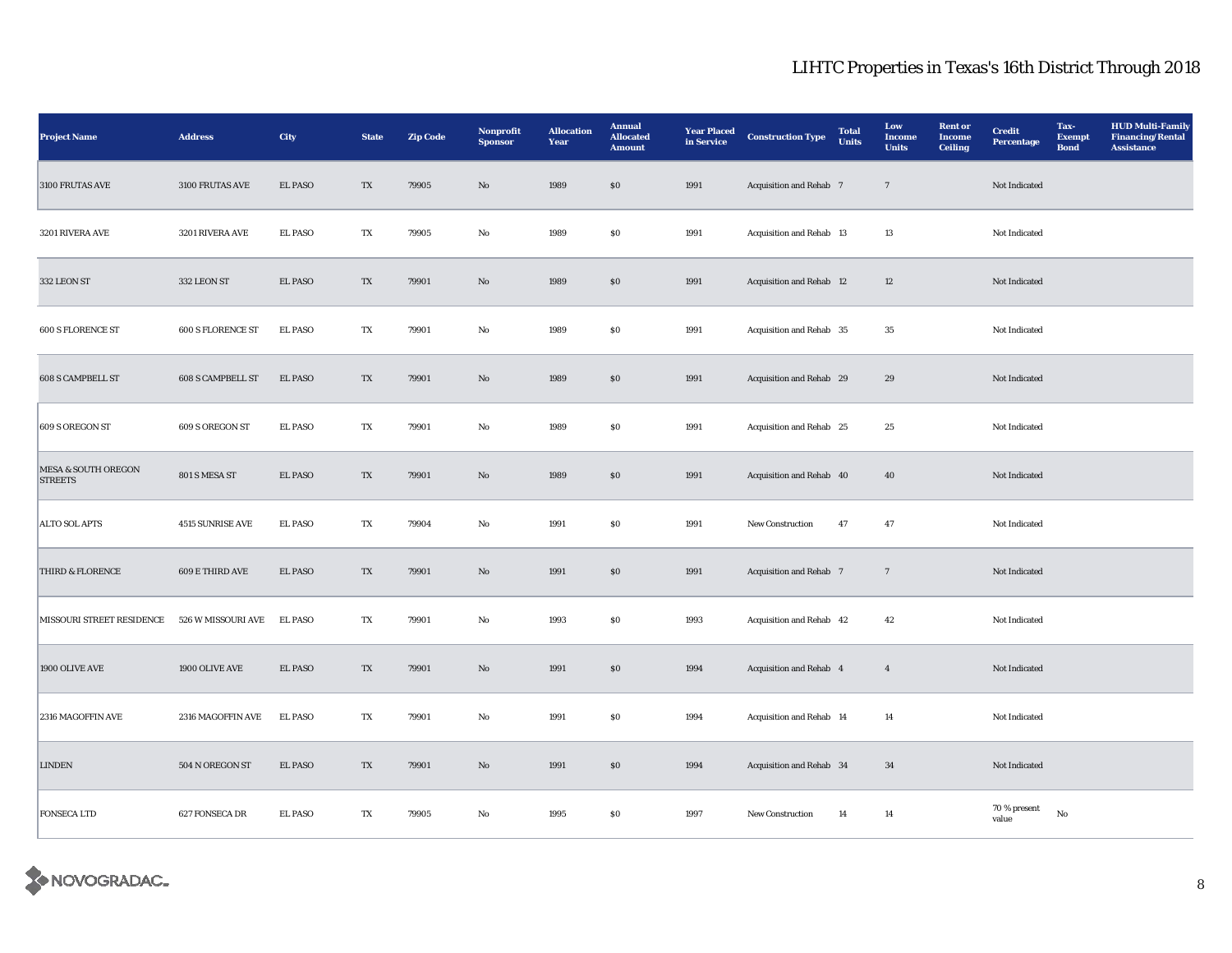| <b>Project Name</b>                              | <b>Address</b>           | City           | <b>State</b> | <b>Zip Code</b> | Nonprofit<br><b>Sponsor</b> | <b>Allocation</b><br>Year | <b>Annual</b><br><b>Allocated</b><br><b>Amount</b> | <b>Year Placed</b><br>in Service | <b>Construction Type</b> | <b>Total</b><br><b>Units</b> | Low<br><b>Income</b><br><b>Units</b> | <b>Rent or</b><br><b>Income</b><br><b>Ceiling</b> | <b>Credit</b><br><b>Percentage</b> | Tax-<br><b>Exempt</b><br><b>Bond</b> | <b>HUD Multi-Family</b><br><b>Financing/Rental</b><br><b>Assistance</b> |
|--------------------------------------------------|--------------------------|----------------|--------------|-----------------|-----------------------------|---------------------------|----------------------------------------------------|----------------------------------|--------------------------|------------------------------|--------------------------------------|---------------------------------------------------|------------------------------------|--------------------------------------|-------------------------------------------------------------------------|
| 3100 FRUTAS AVE                                  | 3100 FRUTAS AVE          | <b>EL PASO</b> | TX           | 79905           | $\mathbf{N}\mathbf{o}$      | 1989                      | $\$0$                                              | 1991                             | Acquisition and Rehab 7  |                              | $7\phantom{.0}$                      |                                                   | Not Indicated                      |                                      |                                                                         |
| 3201 RIVERA AVE                                  | 3201 RIVERA AVE          | <b>EL PASO</b> | TX           | 79905           | $_{\rm No}$                 | 1989                      | ${\bf S0}$                                         | 1991                             | Acquisition and Rehab 13 |                              | 13                                   |                                                   | Not Indicated                      |                                      |                                                                         |
| 332 LEON ST                                      | 332 LEON ST              | <b>EL PASO</b> | TX           | 79901           | $\mathbf{No}$               | 1989                      | S <sub>0</sub>                                     | 1991                             | Acquisition and Rehab 12 |                              | 12                                   |                                                   | Not Indicated                      |                                      |                                                                         |
| 600 S FLORENCE ST                                | 600 S FLORENCE ST        | <b>EL PASO</b> | TX           | 79901           | No                          | 1989                      | ${\bf S0}$                                         | 1991                             | Acquisition and Rehab 35 |                              | $35\,$                               |                                                   | Not Indicated                      |                                      |                                                                         |
| <b>608 S CAMPBELL ST</b>                         | <b>608 S CAMPBELL ST</b> | <b>EL PASO</b> | TX           | 79901           | No                          | 1989                      | \$0\$                                              | 1991                             | Acquisition and Rehab 29 |                              | 29                                   |                                                   | Not Indicated                      |                                      |                                                                         |
| 609 S OREGON ST                                  | 609 S OREGON ST          | <b>EL PASO</b> | TX           | 79901           | No                          | 1989                      | $\$0$                                              | 1991                             | Acquisition and Rehab 25 |                              | 25                                   |                                                   | Not Indicated                      |                                      |                                                                         |
| <b>MESA &amp; SOUTH OREGON</b><br><b>STREETS</b> | 801 S MESA ST            | EL PASO        | TX           | 79901           | $\mathbf{No}$               | 1989                      | $\boldsymbol{\mathsf{S}}\boldsymbol{\mathsf{O}}$   | 1991                             | Acquisition and Rehab 40 |                              | 40                                   |                                                   | Not Indicated                      |                                      |                                                                         |
| <b>ALTO SOL APTS</b>                             | 4515 SUNRISE AVE         | <b>EL PASO</b> | TX           | 79904           | No                          | 1991                      | $\$0$                                              | 1991                             | New Construction         | 47                           | 47                                   |                                                   | Not Indicated                      |                                      |                                                                         |
| THIRD & FLORENCE                                 | $609\to\!$ THIRD AVE     | EL PASO        | TX           | 79901           | $\rm No$                    | 1991                      | $\boldsymbol{\mathsf{S}}\boldsymbol{\mathsf{O}}$   | 1991                             | Acquisition and Rehab 7  |                              | $7\phantom{.0}$                      |                                                   | Not Indicated                      |                                      |                                                                         |
| MISSOURI STREET RESIDENCE                        | 526 W MISSOURI AVE       | <b>EL PASO</b> | TX           | 79901           | No                          | 1993                      | $\$0$                                              | 1993                             | Acquisition and Rehab 42 |                              | 42                                   |                                                   | Not Indicated                      |                                      |                                                                         |
| 1900 OLIVE AVE                                   | 1900 OLIVE AVE           | <b>EL PASO</b> | TX           | 79901           | $\rm No$                    | 1991                      | $\boldsymbol{\mathsf{S}}\boldsymbol{\mathsf{O}}$   | 1994                             | Acquisition and Rehab 4  |                              | $\overline{4}$                       |                                                   | Not Indicated                      |                                      |                                                                         |
| 2316 MAGOFFIN AVE                                | 2316 MAGOFFIN AVE        | EL PASO        | TX           | 79901           | No                          | 1991                      | \$0\$                                              | 1994                             | Acquisition and Rehab 14 |                              | 14                                   |                                                   | Not Indicated                      |                                      |                                                                         |
| <b>LINDEN</b>                                    | 504 N OREGON ST          | <b>EL PASO</b> | TX           | 79901           | $\mathbf{N}\mathbf{o}$      | 1991                      | \$0\$                                              | 1994                             | Acquisition and Rehab 34 |                              | 34                                   |                                                   | Not Indicated                      |                                      |                                                                         |
| <b>FONSECA LTD</b>                               | 627 FONSECA DR           | <b>EL PASO</b> | TX           | 79905           | No                          | 1995                      | $\$0$                                              | 1997                             | New Construction         | 14                           | 14                                   |                                                   | 70 % present<br>value              | $_{\rm No}$                          |                                                                         |